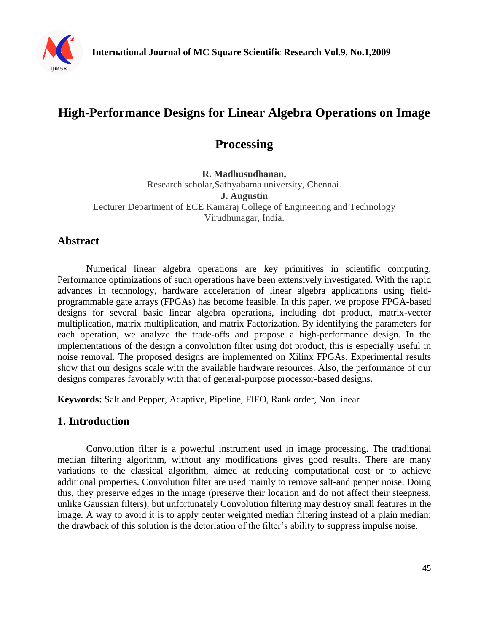

# **High-Performance Designs for Linear Algebra Operations on Image**

## **Processing**

**R. Madhusudhanan,**  Research scholar,Sathyabama university, Chennai. **J. Augustin** Lecturer Department of ECE Kamaraj College of Engineering and Technology Virudhunagar, India.

## **Abstract**

Numerical linear algebra operations are key primitives in scientific computing. Performance optimizations of such operations have been extensively investigated. With the rapid advances in technology, hardware acceleration of linear algebra applications using fieldprogrammable gate arrays (FPGAs) has become feasible. In this paper, we propose FPGA-based designs for several basic linear algebra operations, including dot product, matrix-vector multiplication, matrix multiplication, and matrix Factorization. By identifying the parameters for each operation, we analyze the trade-offs and propose a high-performance design. In the implementations of the design a convolution filter using dot product, this is especially useful in noise removal. The proposed designs are implemented on Xilinx FPGAs. Experimental results show that our designs scale with the available hardware resources. Also, the performance of our designs compares favorably with that of general-purpose processor-based designs.

**Keywords:** Salt and Pepper, Adaptive, Pipeline, FIFO, Rank order, Non linear

#### **1. Introduction**

Convolution filter is a powerful instrument used in image processing. The traditional median filtering algorithm, without any modifications gives good results. There are many variations to the classical algorithm, aimed at reducing computational cost or to achieve additional properties. Convolution filter are used mainly to remove salt-and pepper noise. Doing this, they preserve edges in the image (preserve their location and do not affect their steepness, unlike Gaussian filters), but unfortunately Convolution filtering may destroy small features in the image. A way to avoid it is to apply center weighted median filtering instead of a plain median; the drawback of this solution is the detoriation of the filter's ability to suppress impulse noise.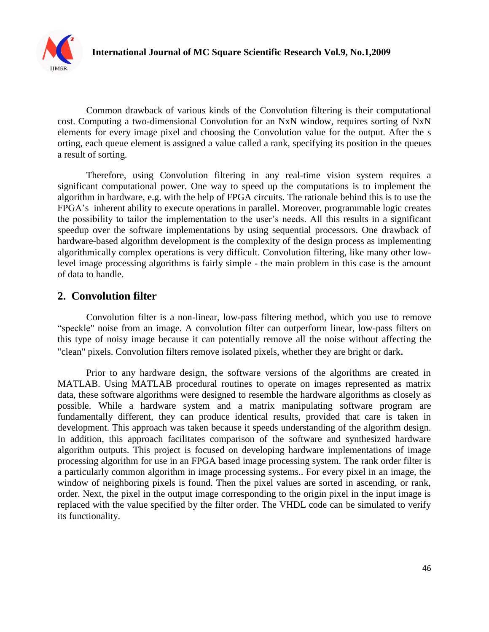

Common drawback of various kinds of the Convolution filtering is their computational cost. Computing a two-dimensional Convolution for an NxN window, requires sorting of NxN elements for every image pixel and choosing the Convolution value for the output. After the s orting, each queue element is assigned a value called a rank, specifying its position in the queues a result of sorting.

Therefore, using Convolution filtering in any real-time vision system requires a significant computational power. One way to speed up the computations is to implement the algorithm in hardware, e.g. with the help of FPGA circuits. The rationale behind this is to use the FPGA's inherent ability to execute operations in parallel. Moreover, programmable logic creates the possibility to tailor the implementation to the user's needs. All this results in a significant speedup over the software implementations by using sequential processors. One drawback of hardware-based algorithm development is the complexity of the design process as implementing algorithmically complex operations is very difficult. Convolution filtering, like many other lowlevel image processing algorithms is fairly simple - the main problem in this case is the amount of data to handle.

## **2. Convolution filter**

Convolution filter is a non-linear, low-pass filtering method, which you use to remove "speckle" noise from an image. A convolution filter can outperform linear, low-pass filters on this type of noisy image because it can potentially remove all the noise without affecting the "clean" pixels. Convolution filters remove isolated pixels, whether they are bright or dark.

Prior to any hardware design, the software versions of the algorithms are created in MATLAB. Using MATLAB procedural routines to operate on images represented as matrix data, these software algorithms were designed to resemble the hardware algorithms as closely as possible. While a hardware system and a matrix manipulating software program are fundamentally different, they can produce identical results, provided that care is taken in development. This approach was taken because it speeds understanding of the algorithm design. In addition, this approach facilitates comparison of the software and synthesized hardware algorithm outputs. This project is focused on developing hardware implementations of image processing algorithm for use in an FPGA based image processing system. The rank order filter is a particularly common algorithm in image processing systems.. For every pixel in an image, the window of neighboring pixels is found. Then the pixel values are sorted in ascending, or rank, order. Next, the pixel in the output image corresponding to the origin pixel in the input image is replaced with the value specified by the filter order. The VHDL code can be simulated to verify its functionality.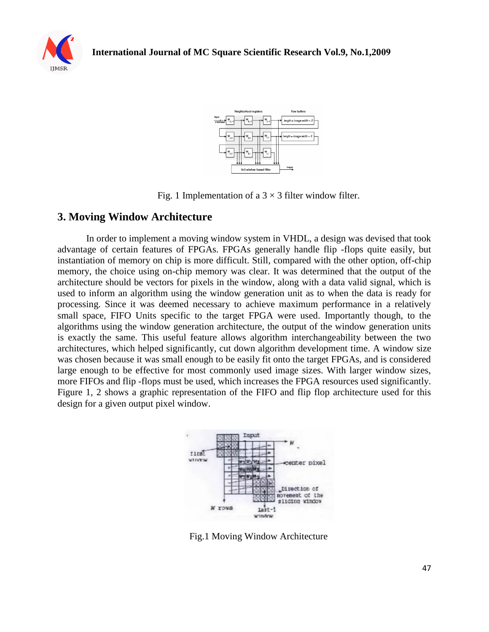





Fig. 1 Implementation of a  $3 \times 3$  filter window filter.

### **3. Moving Window Architecture**

In order to implement a moving window system in VHDL, a design was devised that took advantage of certain features of FPGAs. FPGAs generally handle flip -flops quite easily, but instantiation of memory on chip is more difficult. Still, compared with the other option, off-chip memory, the choice using on-chip memory was clear. It was determined that the output of the architecture should be vectors for pixels in the window, along with a data valid signal, which is used to inform an algorithm using the window generation unit as to when the data is ready for processing. Since it was deemed necessary to achieve maximum performance in a relatively small space, FIFO Units specific to the target FPGA were used. Importantly though, to the algorithms using the window generation architecture, the output of the window generation units is exactly the same. This useful feature allows algorithm interchangeability between the two architectures, which helped significantly, cut down algorithm development time. A window size was chosen because it was small enough to be easily fit onto the target FPGAs, and is considered large enough to be effective for most commonly used image sizes. With larger window sizes, more FIFOs and flip -flops must be used, which increases the FPGA resources used significantly. Figure 1, 2 shows a graphic representation of the FIFO and flip flop architecture used for this design for a given output pixel window.



Fig.1 Moving Window Architecture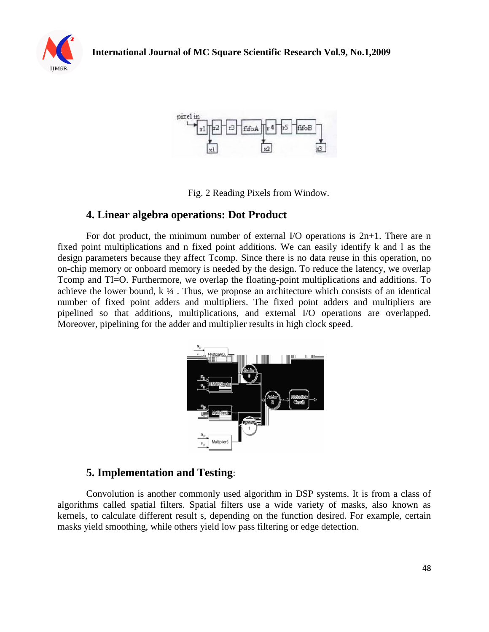



Fig. 2 Reading Pixels from Window.

#### **4. Linear algebra operations: Dot Product**

For dot product, the minimum number of external I/O operations is 2n+1. There are n fixed point multiplications and n fixed point additions. We can easily identify k and l as the design parameters because they affect Tcomp. Since there is no data reuse in this operation, no on-chip memory or onboard memory is needed by the design. To reduce the latency, we overlap Tcomp and TI=O. Furthermore, we overlap the floating-point multiplications and additions. To achieve the lower bound,  $k \frac{1}{4}$ . Thus, we propose an architecture which consists of an identical number of fixed point adders and multipliers. The fixed point adders and multipliers are pipelined so that additions, multiplications, and external I/O operations are overlapped. Moreover, pipelining for the adder and multiplier results in high clock speed.



### **5. Implementation and Testing**:

Convolution is another commonly used algorithm in DSP systems. It is from a class of algorithms called spatial filters. Spatial filters use a wide variety of masks, also known as kernels, to calculate different result s, depending on the function desired. For example, certain masks yield smoothing, while others yield low pass filtering or edge detection.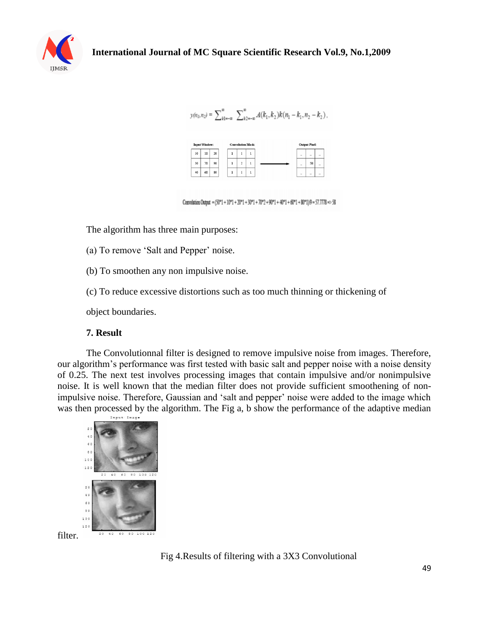

$$
y(n_1, n_2) = \sum_{k1=-\infty}^{\infty} \sum_{k2=-\infty}^{\infty} A(k_1, k_2) k(n_1 - k_1, n_2 - k_2),
$$



Convolution Output =  $(50*1 + 10*1 + 20*1 + 30*1 + 70*2 + 90*1 + 40*1 + 60*1 + 30*1)9 = 57.7778 \Rightarrow 58$ 

The algorithm has three main purposes:

(a) To remove 'Salt and Pepper' noise.

(b) To smoothen any non impulsive noise.

(c) To reduce excessive distortions such as too much thinning or thickening of

object boundaries.

#### **7. Result**

The Convolutionnal filter is designed to remove impulsive noise from images. Therefore, our algorithm's performance was first tested with basic salt and pepper noise with a noise density of 0.25. The next test involves processing images that contain impulsive and/or nonimpulsive noise. It is well known that the median filter does not provide sufficient smoothening of nonimpulsive noise. Therefore, Gaussian and 'salt and pepper' noise were added to the image which was then processed by the algorithm. The Fig a, b show the performance of the adaptive median



Fig 4.Results of filtering with a 3X3 Convolutional